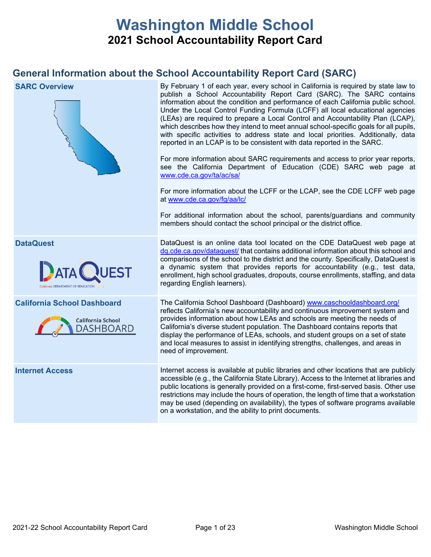# **Washington Middle School 2021 School Accountability Report Card**

## **General Information about the School Accountability Report Card (SARC)**

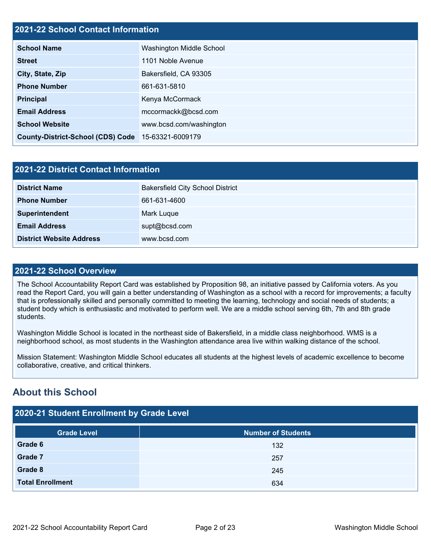## **2021-22 School Contact Information**

| <b>School Name</b>                                 | Washington Middle School |
|----------------------------------------------------|--------------------------|
| <b>Street</b>                                      | 1101 Noble Avenue        |
| City, State, Zip                                   | Bakersfield, CA 93305    |
| <b>Phone Number</b>                                | 661-631-5810             |
| <b>Principal</b>                                   | Kenya McCormack          |
| <b>Email Address</b>                               | mccormackk@bcsd.com      |
| <b>School Website</b>                              | www.bcsd.com/washington  |
| County-District-School (CDS) Code 15-63321-6009179 |                          |

| <b>2021-22 District Contact Information</b> |                                         |  |  |  |  |
|---------------------------------------------|-----------------------------------------|--|--|--|--|
| <b>District Name</b>                        | <b>Bakersfield City School District</b> |  |  |  |  |
| <b>Phone Number</b>                         | 661-631-4600                            |  |  |  |  |
| Superintendent                              | Mark Luque                              |  |  |  |  |
| <b>Email Address</b>                        | supt@bcsd.com                           |  |  |  |  |
| <b>District Website Address</b>             | www.bcsd.com                            |  |  |  |  |

#### **2021-22 School Overview**

The School Accountability Report Card was established by Proposition 98, an initiative passed by California voters. As you read the Report Card, you will gain a better understanding of Washington as a school with a record for improvements; a faculty that is professionally skilled and personally committed to meeting the learning, technology and social needs of students; a student body which is enthusiastic and motivated to perform well. We are a middle school serving 6th, 7th and 8th grade students.

Washington Middle School is located in the northeast side of Bakersfield, in a middle class neighborhood. WMS is a neighborhood school, as most students in the Washington attendance area live within walking distance of the school.

Mission Statement: Washington Middle School educates all students at the highest levels of academic excellence to become collaborative, creative, and critical thinkers.

## **About this School**

## **2020-21 Student Enrollment by Grade Level**

| <b>Grade Level</b>      | <b>Number of Students</b> |  |  |  |  |  |
|-------------------------|---------------------------|--|--|--|--|--|
| Grade 6                 | 132                       |  |  |  |  |  |
| Grade 7                 | 257                       |  |  |  |  |  |
| Grade 8                 | 245                       |  |  |  |  |  |
| <b>Total Enrollment</b> | 634                       |  |  |  |  |  |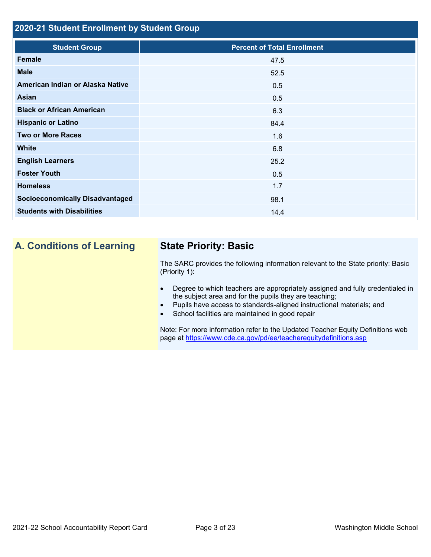## **2020-21 Student Enrollment by Student Group**

| <b>Student Group</b>                   | <b>Percent of Total Enrollment</b> |
|----------------------------------------|------------------------------------|
| Female                                 | 47.5                               |
| <b>Male</b>                            | 52.5                               |
| American Indian or Alaska Native       | 0.5                                |
| <b>Asian</b>                           | 0.5                                |
| <b>Black or African American</b>       | 6.3                                |
| <b>Hispanic or Latino</b>              | 84.4                               |
| <b>Two or More Races</b>               | 1.6                                |
| <b>White</b>                           | 6.8                                |
| <b>English Learners</b>                | 25.2                               |
| <b>Foster Youth</b>                    | 0.5                                |
| <b>Homeless</b>                        | 1.7                                |
| <b>Socioeconomically Disadvantaged</b> | 98.1                               |
| <b>Students with Disabilities</b>      | 14.4                               |
|                                        |                                    |

## **A. Conditions of Learning State Priority: Basic**

The SARC provides the following information relevant to the State priority: Basic (Priority 1):

- Degree to which teachers are appropriately assigned and fully credentialed in the subject area and for the pupils they are teaching;
- Pupils have access to standards-aligned instructional materials; and
- School facilities are maintained in good repair

Note: For more information refer to the Updated Teacher Equity Definitions web page at<https://www.cde.ca.gov/pd/ee/teacherequitydefinitions.asp>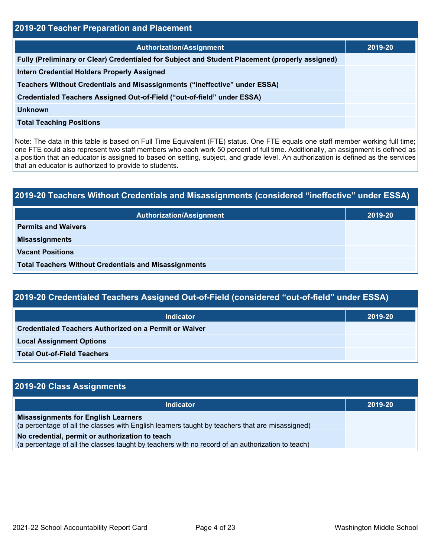| <b>2019-20 Teacher Preparation and Placement</b>                                                |         |  |  |  |  |
|-------------------------------------------------------------------------------------------------|---------|--|--|--|--|
| <b>Authorization/Assignment</b>                                                                 | 2019-20 |  |  |  |  |
| Fully (Preliminary or Clear) Credentialed for Subject and Student Placement (properly assigned) |         |  |  |  |  |
| <b>Intern Credential Holders Properly Assigned</b>                                              |         |  |  |  |  |
| Teachers Without Credentials and Misassignments ("ineffective" under ESSA)                      |         |  |  |  |  |
| Credentialed Teachers Assigned Out-of-Field ("out-of-field" under ESSA)                         |         |  |  |  |  |
| <b>Unknown</b>                                                                                  |         |  |  |  |  |
| <b>Total Teaching Positions</b>                                                                 |         |  |  |  |  |

Note: The data in this table is based on Full Time Equivalent (FTE) status. One FTE equals one staff member working full time; one FTE could also represent two staff members who each work 50 percent of full time. Additionally, an assignment is defined as a position that an educator is assigned to based on setting, subject, and grade level. An authorization is defined as the services that an educator is authorized to provide to students.

# **2019-20 Teachers Without Credentials and Misassignments (considered "ineffective" under ESSA) Authorization/Assignment 2019-20 Permits and Waivers Misassignments Vacant Positions Total Teachers Without Credentials and Misassignments**

| 2019-20 Credentialed Teachers Assigned Out-of-Field (considered "out-of-field" under ESSA) |         |  |  |  |
|--------------------------------------------------------------------------------------------|---------|--|--|--|
| <b>Indicator</b>                                                                           | 2019-20 |  |  |  |
| Credentialed Teachers Authorized on a Permit or Waiver                                     |         |  |  |  |

**Local Assignment Options**

**Total Out-of-Field Teachers**

| 2019-20 Class Assignments                                                                                                                           |         |
|-----------------------------------------------------------------------------------------------------------------------------------------------------|---------|
| <b>Indicator</b>                                                                                                                                    | 2019-20 |
| <b>Misassignments for English Learners</b><br>(a percentage of all the classes with English learners taught by teachers that are misassigned)       |         |
| No credential, permit or authorization to teach<br>(a percentage of all the classes taught by teachers with no record of an authorization to teach) |         |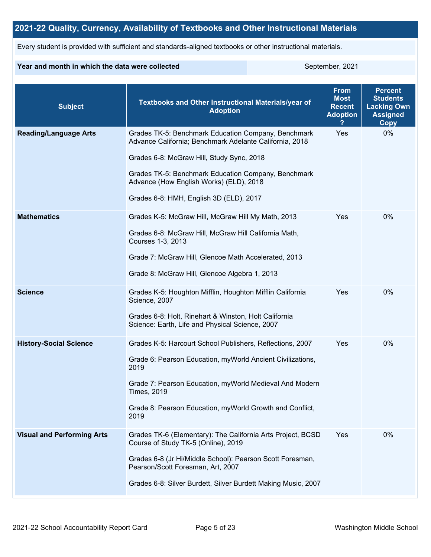## **2021-22 Quality, Currency, Availability of Textbooks and Other Instructional Materials**

Every student is provided with sufficient and standards-aligned textbooks or other instructional materials.

#### **Year and month in which the data were collected** September, 2021

| <b>Subject</b>                    | <b>Textbooks and Other Instructional Materials/year of</b><br><b>Adoption</b>                                                                                                                                                                                                                            | <b>From</b><br><b>Most</b><br><b>Recent</b><br><b>Adoption</b> | <b>Percent</b><br><b>Students</b><br><b>Lacking Own</b><br><b>Assigned</b><br>Copy |
|-----------------------------------|----------------------------------------------------------------------------------------------------------------------------------------------------------------------------------------------------------------------------------------------------------------------------------------------------------|----------------------------------------------------------------|------------------------------------------------------------------------------------|
| <b>Reading/Language Arts</b>      | Grades TK-5: Benchmark Education Company, Benchmark<br>Advance California; Benchmark Adelante California, 2018<br>Grades 6-8: McGraw Hill, Study Sync, 2018<br>Grades TK-5: Benchmark Education Company, Benchmark<br>Advance (How English Works) (ELD), 2018<br>Grades 6-8: HMH, English 3D (ELD), 2017 | Yes                                                            | 0%                                                                                 |
| <b>Mathematics</b>                | Grades K-5: McGraw Hill, McGraw Hill My Math, 2013<br>Grades 6-8: McGraw Hill, McGraw Hill California Math,<br>Courses 1-3, 2013<br>Grade 7: McGraw Hill, Glencoe Math Accelerated, 2013<br>Grade 8: McGraw Hill, Glencoe Algebra 1, 2013                                                                | Yes                                                            | 0%                                                                                 |
| <b>Science</b>                    | Grades K-5: Houghton Mifflin, Houghton Mifflin California<br>Science, 2007<br>Grades 6-8: Holt, Rinehart & Winston, Holt California<br>Science: Earth, Life and Physical Science, 2007                                                                                                                   | Yes                                                            | 0%                                                                                 |
| <b>History-Social Science</b>     | Grades K-5: Harcourt School Publishers, Reflections, 2007<br>Grade 6: Pearson Education, myWorld Ancient Civilizations,<br>2019<br>Grade 7: Pearson Education, myWorld Medieval And Modern<br><b>Times, 2019</b><br>Grade 8: Pearson Education, myWorld Growth and Conflict,<br>2019                     | Yes                                                            | 0%                                                                                 |
| <b>Visual and Performing Arts</b> | Grades TK-6 (Elementary): The California Arts Project, BCSD<br>Course of Study TK-5 (Online), 2019<br>Grades 6-8 (Jr Hi/Middle School): Pearson Scott Foresman,<br>Pearson/Scott Foresman, Art, 2007<br>Grades 6-8: Silver Burdett, Silver Burdett Making Music, 2007                                    | Yes                                                            | 0%                                                                                 |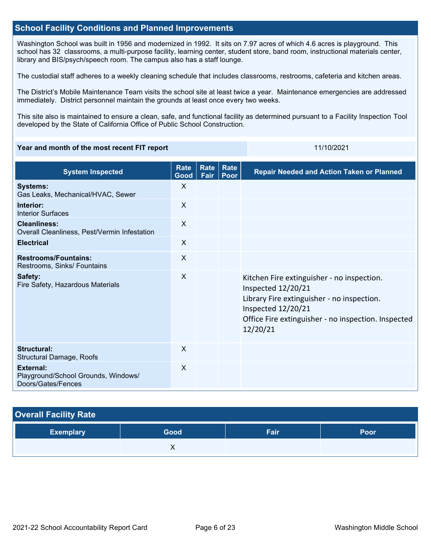### **School Facility Conditions and Planned Improvements**

Washington School was built in 1956 and modernized in 1992. It sits on 7.97 acres of which 4.6 acres is playground. This school has 32 classrooms, a multi-purpose facility, learning center, student store, band room, instructional materials center, library and BIS/psych/speech room. The campus also has a staff lounge.

The custodial staff adheres to a weekly cleaning schedule that includes classrooms, restrooms, cafeteria and kitchen areas.

The District's Mobile Maintenance Team visits the school site at least twice a year. Maintenance emergencies are addressed immediately. District personnel maintain the grounds at least once every two weeks.

This site also is maintained to ensure a clean, safe, and functional facility as determined pursuant to a Facility Inspection Tool developed by the State of California Office of Public School Construction.

#### **Year and month of the most recent FIT report** 11/10/2021 11/10/2021

| <b>System Inspected</b>                                                | <b>Rate</b><br>Good | Rate<br>Fair | Rate<br>Poor | <b>Repair Needed and Action Taken or Planned</b>                                                                                                                                                        |
|------------------------------------------------------------------------|---------------------|--------------|--------------|---------------------------------------------------------------------------------------------------------------------------------------------------------------------------------------------------------|
| <b>Systems:</b><br>Gas Leaks, Mechanical/HVAC, Sewer                   | X                   |              |              |                                                                                                                                                                                                         |
| Interior:<br><b>Interior Surfaces</b>                                  | $\sf X$             |              |              |                                                                                                                                                                                                         |
| <b>Cleanliness:</b><br>Overall Cleanliness, Pest/Vermin Infestation    | $\sf X$             |              |              |                                                                                                                                                                                                         |
| <b>Electrical</b>                                                      | $\sf X$             |              |              |                                                                                                                                                                                                         |
| <b>Restrooms/Fountains:</b><br>Restrooms, Sinks/ Fountains             | $\sf X$             |              |              |                                                                                                                                                                                                         |
| Safety:<br>Fire Safety, Hazardous Materials                            | $\sf X$             |              |              | Kitchen Fire extinguisher - no inspection.<br>Inspected 12/20/21<br>Library Fire extinguisher - no inspection.<br>Inspected 12/20/21<br>Office Fire extinguisher - no inspection. Inspected<br>12/20/21 |
| Structural:<br>Structural Damage, Roofs                                | $\sf X$             |              |              |                                                                                                                                                                                                         |
| External:<br>Playground/School Grounds, Windows/<br>Doors/Gates/Fences | X                   |              |              |                                                                                                                                                                                                         |

# **Overall Facility Rate Exemplary Good Fair Poor X X**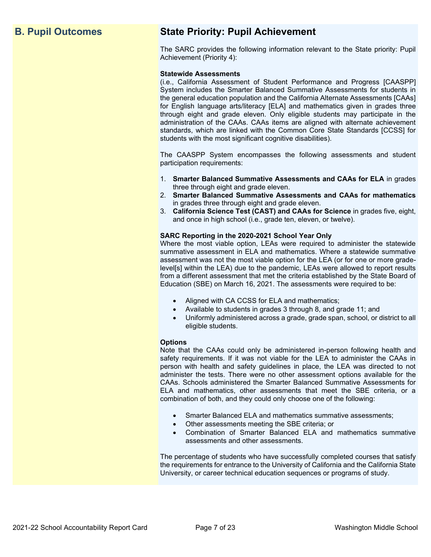## **B. Pupil Outcomes State Priority: Pupil Achievement**

The SARC provides the following information relevant to the State priority: Pupil Achievement (Priority 4):

#### **Statewide Assessments**

(i.e., California Assessment of Student Performance and Progress [CAASPP] System includes the Smarter Balanced Summative Assessments for students in the general education population and the California Alternate Assessments [CAAs] for English language arts/literacy [ELA] and mathematics given in grades three through eight and grade eleven. Only eligible students may participate in the administration of the CAAs. CAAs items are aligned with alternate achievement standards, which are linked with the Common Core State Standards [CCSS] for students with the most significant cognitive disabilities).

The CAASPP System encompasses the following assessments and student participation requirements:

- 1. **Smarter Balanced Summative Assessments and CAAs for ELA** in grades three through eight and grade eleven.
- 2. **Smarter Balanced Summative Assessments and CAAs for mathematics** in grades three through eight and grade eleven.
- 3. **California Science Test (CAST) and CAAs for Science** in grades five, eight, and once in high school (i.e., grade ten, eleven, or twelve).

#### **SARC Reporting in the 2020-2021 School Year Only**

Where the most viable option, LEAs were required to administer the statewide summative assessment in ELA and mathematics. Where a statewide summative assessment was not the most viable option for the LEA (or for one or more gradelevel[s] within the LEA) due to the pandemic, LEAs were allowed to report results from a different assessment that met the criteria established by the State Board of Education (SBE) on March 16, 2021. The assessments were required to be:

- Aligned with CA CCSS for ELA and mathematics;
- Available to students in grades 3 through 8, and grade 11; and
- Uniformly administered across a grade, grade span, school, or district to all eligible students.

#### **Options**

Note that the CAAs could only be administered in-person following health and safety requirements. If it was not viable for the LEA to administer the CAAs in person with health and safety guidelines in place, the LEA was directed to not administer the tests. There were no other assessment options available for the CAAs. Schools administered the Smarter Balanced Summative Assessments for ELA and mathematics, other assessments that meet the SBE criteria, or a combination of both, and they could only choose one of the following:

- Smarter Balanced ELA and mathematics summative assessments;
- Other assessments meeting the SBE criteria; or
- Combination of Smarter Balanced ELA and mathematics summative assessments and other assessments.

The percentage of students who have successfully completed courses that satisfy the requirements for entrance to the University of California and the California State University, or career technical education sequences or programs of study.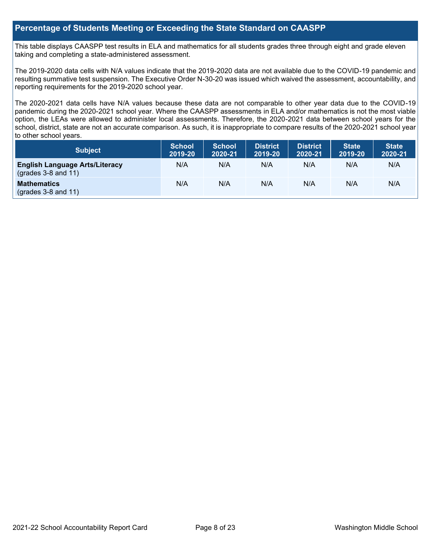### **Percentage of Students Meeting or Exceeding the State Standard on CAASPP**

This table displays CAASPP test results in ELA and mathematics for all students grades three through eight and grade eleven taking and completing a state-administered assessment.

The 2019-2020 data cells with N/A values indicate that the 2019-2020 data are not available due to the COVID-19 pandemic and resulting summative test suspension. The Executive Order N-30-20 was issued which waived the assessment, accountability, and reporting requirements for the 2019-2020 school year.

The 2020-2021 data cells have N/A values because these data are not comparable to other year data due to the COVID-19 pandemic during the 2020-2021 school year. Where the CAASPP assessments in ELA and/or mathematics is not the most viable option, the LEAs were allowed to administer local assessments. Therefore, the 2020-2021 data between school years for the school, district, state are not an accurate comparison. As such, it is inappropriate to compare results of the 2020-2021 school year to other school years.

| Subject                                                              | <b>School</b><br>2019-20 | <b>School</b><br>2020-21 | <b>District</b><br>2019-20 | <b>District</b><br>2020-21 | <b>State</b><br>2019-20 | <b>State</b><br>2020-21 |
|----------------------------------------------------------------------|--------------------------|--------------------------|----------------------------|----------------------------|-------------------------|-------------------------|
| <b>English Language Arts/Literacy</b><br>$\left($ grades 3-8 and 11) | N/A                      | N/A                      | N/A                        | N/A                        | N/A                     | N/A                     |
| <b>Mathematics</b><br>$(grades 3-8 and 11)$                          | N/A                      | N/A                      | N/A                        | N/A                        | N/A                     | N/A                     |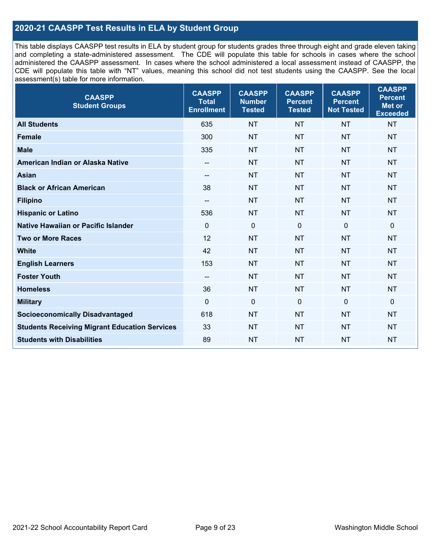## **2020-21 CAASPP Test Results in ELA by Student Group**

This table displays CAASPP test results in ELA by student group for students grades three through eight and grade eleven taking and completing a state-administered assessment. The CDE will populate this table for schools in cases where the school administered the CAASPP assessment. In cases where the school administered a local assessment instead of CAASPP, the CDE will populate this table with "NT" values, meaning this school did not test students using the CAASPP. See the local assessment(s) table for more information.

| <b>CAASPP</b><br><b>Student Groups</b>               | <b>CAASPP</b><br><b>Total</b><br><b>Enrollment</b> | <b>CAASPP</b><br><b>Number</b><br><b>Tested</b> | <b>CAASPP</b><br><b>Percent</b><br><b>Tested</b> | <b>CAASPP</b><br><b>Percent</b><br><b>Not Tested</b> | <b>CAASPP</b><br><b>Percent</b><br>Met or<br><b>Exceeded</b> |
|------------------------------------------------------|----------------------------------------------------|-------------------------------------------------|--------------------------------------------------|------------------------------------------------------|--------------------------------------------------------------|
| <b>All Students</b>                                  | 635                                                | <b>NT</b>                                       | <b>NT</b>                                        | <b>NT</b>                                            | <b>NT</b>                                                    |
| <b>Female</b>                                        | 300                                                | <b>NT</b>                                       | <b>NT</b>                                        | <b>NT</b>                                            | <b>NT</b>                                                    |
| <b>Male</b>                                          | 335                                                | <b>NT</b>                                       | <b>NT</b>                                        | <b>NT</b>                                            | <b>NT</b>                                                    |
| American Indian or Alaska Native                     | --                                                 | <b>NT</b>                                       | <b>NT</b>                                        | <b>NT</b>                                            | <b>NT</b>                                                    |
| <b>Asian</b>                                         | --                                                 | <b>NT</b>                                       | <b>NT</b>                                        | <b>NT</b>                                            | <b>NT</b>                                                    |
| <b>Black or African American</b>                     | 38                                                 | <b>NT</b>                                       | <b>NT</b>                                        | <b>NT</b>                                            | <b>NT</b>                                                    |
| <b>Filipino</b>                                      | $\overline{\phantom{a}}$                           | <b>NT</b>                                       | <b>NT</b>                                        | <b>NT</b>                                            | <b>NT</b>                                                    |
| <b>Hispanic or Latino</b>                            | 536                                                | <b>NT</b>                                       | <b>NT</b>                                        | <b>NT</b>                                            | <b>NT</b>                                                    |
| Native Hawaiian or Pacific Islander                  | $\mathbf 0$                                        | $\mathbf 0$                                     | $\mathbf{0}$                                     | $\overline{0}$                                       | 0                                                            |
| <b>Two or More Races</b>                             | 12                                                 | <b>NT</b>                                       | <b>NT</b>                                        | <b>NT</b>                                            | <b>NT</b>                                                    |
| <b>White</b>                                         | 42                                                 | <b>NT</b>                                       | <b>NT</b>                                        | <b>NT</b>                                            | <b>NT</b>                                                    |
| <b>English Learners</b>                              | 153                                                | <b>NT</b>                                       | <b>NT</b>                                        | <b>NT</b>                                            | <b>NT</b>                                                    |
| <b>Foster Youth</b>                                  | $-$                                                | <b>NT</b>                                       | <b>NT</b>                                        | <b>NT</b>                                            | <b>NT</b>                                                    |
| <b>Homeless</b>                                      | 36                                                 | <b>NT</b>                                       | <b>NT</b>                                        | <b>NT</b>                                            | <b>NT</b>                                                    |
| <b>Military</b>                                      | $\mathbf 0$                                        | $\mathbf 0$                                     | $\mathbf 0$                                      | $\mathbf 0$                                          | 0                                                            |
| <b>Socioeconomically Disadvantaged</b>               | 618                                                | <b>NT</b>                                       | <b>NT</b>                                        | <b>NT</b>                                            | <b>NT</b>                                                    |
| <b>Students Receiving Migrant Education Services</b> | 33                                                 | <b>NT</b>                                       | <b>NT</b>                                        | <b>NT</b>                                            | <b>NT</b>                                                    |
| <b>Students with Disabilities</b>                    | 89                                                 | <b>NT</b>                                       | <b>NT</b>                                        | <b>NT</b>                                            | <b>NT</b>                                                    |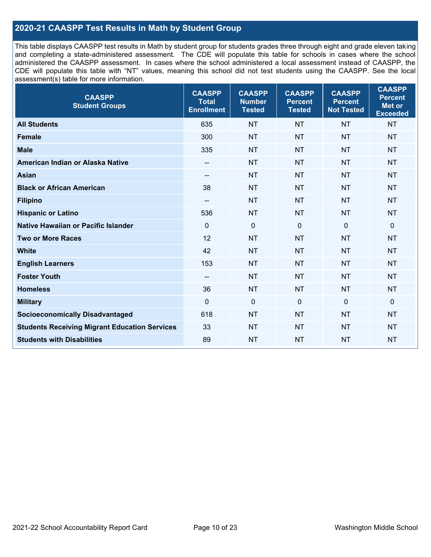## **2020-21 CAASPP Test Results in Math by Student Group**

This table displays CAASPP test results in Math by student group for students grades three through eight and grade eleven taking and completing a state-administered assessment. The CDE will populate this table for schools in cases where the school administered the CAASPP assessment. In cases where the school administered a local assessment instead of CAASPP, the CDE will populate this table with "NT" values, meaning this school did not test students using the CAASPP. See the local assessment(s) table for more information.

| <b>CAASPP</b><br><b>Student Groups</b>               | <b>CAASPP</b><br><b>Total</b><br><b>Enrollment</b> | <b>CAASPP</b><br><b>Number</b><br><b>Tested</b> | <b>CAASPP</b><br><b>Percent</b><br><b>Tested</b> | <b>CAASPP</b><br><b>Percent</b><br><b>Not Tested</b> | <b>CAASPP</b><br><b>Percent</b><br><b>Met or</b><br><b>Exceeded</b> |
|------------------------------------------------------|----------------------------------------------------|-------------------------------------------------|--------------------------------------------------|------------------------------------------------------|---------------------------------------------------------------------|
| <b>All Students</b>                                  | 635                                                | <b>NT</b>                                       | <b>NT</b>                                        | <b>NT</b>                                            | <b>NT</b>                                                           |
| <b>Female</b>                                        | 300                                                | <b>NT</b>                                       | <b>NT</b>                                        | <b>NT</b>                                            | <b>NT</b>                                                           |
| <b>Male</b>                                          | 335                                                | <b>NT</b>                                       | <b>NT</b>                                        | <b>NT</b>                                            | <b>NT</b>                                                           |
| American Indian or Alaska Native                     | --                                                 | <b>NT</b>                                       | <b>NT</b>                                        | <b>NT</b>                                            | <b>NT</b>                                                           |
| <b>Asian</b>                                         | --                                                 | <b>NT</b>                                       | <b>NT</b>                                        | <b>NT</b>                                            | <b>NT</b>                                                           |
| <b>Black or African American</b>                     | 38                                                 | <b>NT</b>                                       | <b>NT</b>                                        | <b>NT</b>                                            | <b>NT</b>                                                           |
| <b>Filipino</b>                                      | $\overline{\phantom{a}}$                           | <b>NT</b>                                       | <b>NT</b>                                        | <b>NT</b>                                            | <b>NT</b>                                                           |
| <b>Hispanic or Latino</b>                            | 536                                                | <b>NT</b>                                       | <b>NT</b>                                        | <b>NT</b>                                            | <b>NT</b>                                                           |
| <b>Native Hawaiian or Pacific Islander</b>           | $\mathbf 0$                                        | $\mathbf 0$                                     | $\mathbf 0$                                      | $\mathbf 0$                                          | $\mathbf 0$                                                         |
| <b>Two or More Races</b>                             | 12                                                 | <b>NT</b>                                       | <b>NT</b>                                        | <b>NT</b>                                            | <b>NT</b>                                                           |
| <b>White</b>                                         | 42                                                 | <b>NT</b>                                       | <b>NT</b>                                        | <b>NT</b>                                            | <b>NT</b>                                                           |
| <b>English Learners</b>                              | 153                                                | <b>NT</b>                                       | <b>NT</b>                                        | <b>NT</b>                                            | <b>NT</b>                                                           |
| <b>Foster Youth</b>                                  | $-$                                                | <b>NT</b>                                       | <b>NT</b>                                        | <b>NT</b>                                            | <b>NT</b>                                                           |
| <b>Homeless</b>                                      | 36                                                 | <b>NT</b>                                       | <b>NT</b>                                        | <b>NT</b>                                            | <b>NT</b>                                                           |
| <b>Military</b>                                      | $\mathbf 0$                                        | $\mathbf 0$                                     | 0                                                | $\mathbf 0$                                          | $\mathbf 0$                                                         |
| <b>Socioeconomically Disadvantaged</b>               | 618                                                | <b>NT</b>                                       | <b>NT</b>                                        | <b>NT</b>                                            | <b>NT</b>                                                           |
| <b>Students Receiving Migrant Education Services</b> | 33                                                 | <b>NT</b>                                       | <b>NT</b>                                        | <b>NT</b>                                            | NT                                                                  |
| <b>Students with Disabilities</b>                    | 89                                                 | <b>NT</b>                                       | <b>NT</b>                                        | <b>NT</b>                                            | <b>NT</b>                                                           |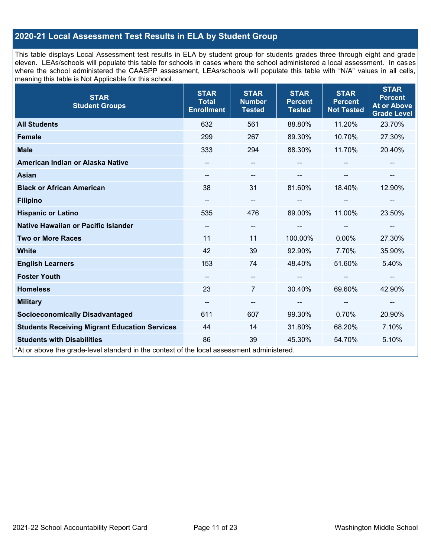## **2020-21 Local Assessment Test Results in ELA by Student Group**

This table displays Local Assessment test results in ELA by student group for students grades three through eight and grade eleven. LEAs/schools will populate this table for schools in cases where the school administered a local assessment. In cases where the school administered the CAASPP assessment, LEAs/schools will populate this table with "N/A" values in all cells, meaning this table is Not Applicable for this school.

| <b>STAR</b><br><b>Student Groups</b>                                                                                            | <b>STAR</b><br><b>Total</b><br><b>Enrollment</b> | <b>STAR</b><br><b>Number</b><br><b>Tested</b> | <b>STAR</b><br><b>Percent</b><br><b>Tested</b> | <b>STAR</b><br><b>Percent</b><br><b>Not Tested</b> | <b>STAR</b><br><b>Percent</b><br><b>At or Above</b><br><b>Grade Level</b> |
|---------------------------------------------------------------------------------------------------------------------------------|--------------------------------------------------|-----------------------------------------------|------------------------------------------------|----------------------------------------------------|---------------------------------------------------------------------------|
| <b>All Students</b>                                                                                                             | 632                                              | 561                                           | 88.80%                                         | 11.20%                                             | 23.70%                                                                    |
| <b>Female</b>                                                                                                                   | 299                                              | 267                                           | 89.30%                                         | 10.70%                                             | 27.30%                                                                    |
| <b>Male</b>                                                                                                                     | 333                                              | 294                                           | 88.30%                                         | 11.70%                                             | 20.40%                                                                    |
| American Indian or Alaska Native                                                                                                | --                                               | --                                            |                                                |                                                    |                                                                           |
| <b>Asian</b>                                                                                                                    | --                                               | --                                            |                                                | --                                                 |                                                                           |
| <b>Black or African American</b>                                                                                                | 38                                               | 31                                            | 81.60%                                         | 18.40%                                             | 12.90%                                                                    |
| <b>Filipino</b>                                                                                                                 | --                                               | --                                            |                                                | --                                                 | --                                                                        |
| <b>Hispanic or Latino</b>                                                                                                       | 535                                              | 476                                           | 89.00%                                         | 11.00%                                             | 23.50%                                                                    |
| Native Hawaiian or Pacific Islander                                                                                             | $\overline{\phantom{a}}$                         | --                                            |                                                | --                                                 |                                                                           |
| <b>Two or More Races</b>                                                                                                        | 11                                               | 11                                            | 100.00%                                        | 0.00%                                              | 27.30%                                                                    |
| <b>White</b>                                                                                                                    | 42                                               | 39                                            | 92.90%                                         | 7.70%                                              | 35.90%                                                                    |
| <b>English Learners</b>                                                                                                         | 153                                              | 74                                            | 48.40%                                         | 51.60%                                             | 5.40%                                                                     |
| <b>Foster Youth</b>                                                                                                             | --                                               | --                                            |                                                | --                                                 | $\overline{\phantom{a}}$                                                  |
| <b>Homeless</b>                                                                                                                 | 23                                               | $\overline{7}$                                | 30.40%                                         | 69.60%                                             | 42.90%                                                                    |
| <b>Military</b>                                                                                                                 | $\overline{\phantom{a}}$                         | --                                            | --                                             | --                                                 | $\overline{\phantom{a}}$                                                  |
| <b>Socioeconomically Disadvantaged</b>                                                                                          | 611                                              | 607                                           | 99.30%                                         | 0.70%                                              | 20.90%                                                                    |
| <b>Students Receiving Migrant Education Services</b>                                                                            | 44                                               | 14                                            | 31.80%                                         | 68.20%                                             | 7.10%                                                                     |
| <b>Students with Disabilities</b><br>*At or above the grade-level standard in the context of the local assessment administered. | 86                                               | 39                                            | 45.30%                                         | 54.70%                                             | 5.10%                                                                     |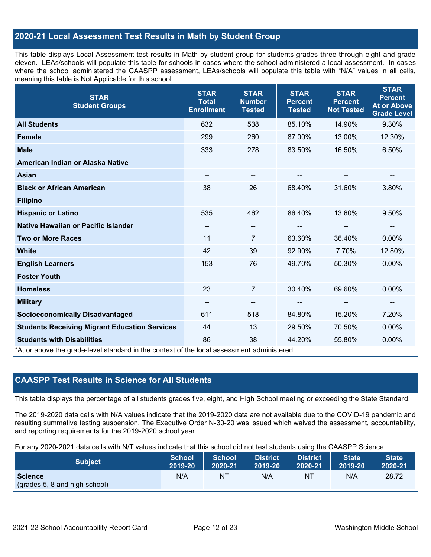## **2020-21 Local Assessment Test Results in Math by Student Group**

This table displays Local Assessment test results in Math by student group for students grades three through eight and grade eleven. LEAs/schools will populate this table for schools in cases where the school administered a local assessment. In cases where the school administered the CAASPP assessment, LEAs/schools will populate this table with "N/A" values in all cells, meaning this table is Not Applicable for this school.

| <b>STAR</b><br><b>Student Groups</b>                                                                                            | <b>STAR</b><br><b>Total</b><br><b>Enrollment</b> | <b>STAR</b><br><b>Number</b><br><b>Tested</b> | <b>STAR</b><br><b>Percent</b><br><b>Tested</b> | <b>STAR</b><br><b>Percent</b><br><b>Not Tested</b> | <b>STAR</b><br><b>Percent</b><br><b>At or Above</b><br><b>Grade Level</b> |
|---------------------------------------------------------------------------------------------------------------------------------|--------------------------------------------------|-----------------------------------------------|------------------------------------------------|----------------------------------------------------|---------------------------------------------------------------------------|
| <b>All Students</b>                                                                                                             | 632                                              | 538                                           | 85.10%                                         | 14.90%                                             | 9.30%                                                                     |
| <b>Female</b>                                                                                                                   | 299                                              | 260                                           | 87.00%                                         | 13.00%                                             | 12.30%                                                                    |
| <b>Male</b>                                                                                                                     | 333                                              | 278                                           | 83.50%                                         | 16.50%                                             | 6.50%                                                                     |
| American Indian or Alaska Native                                                                                                | --                                               | $\overline{\phantom{a}}$                      | --                                             |                                                    | --                                                                        |
| <b>Asian</b>                                                                                                                    | --                                               | $\overline{\phantom{a}}$                      |                                                |                                                    | --                                                                        |
| <b>Black or African American</b>                                                                                                | 38                                               | 26                                            | 68.40%                                         | 31.60%                                             | 3.80%                                                                     |
| <b>Filipino</b>                                                                                                                 | --                                               | --                                            | --                                             | --                                                 | --                                                                        |
| <b>Hispanic or Latino</b>                                                                                                       | 535                                              | 462                                           | 86.40%                                         | 13.60%                                             | 9.50%                                                                     |
| <b>Native Hawaiian or Pacific Islander</b>                                                                                      | $\overline{\phantom{a}}$                         | $\overline{\phantom{m}}$                      | --                                             | --                                                 | --                                                                        |
| <b>Two or More Races</b>                                                                                                        | 11                                               | $\overline{7}$                                | 63.60%                                         | 36.40%                                             | 0.00%                                                                     |
| <b>White</b>                                                                                                                    | 42                                               | 39                                            | 92.90%                                         | 7.70%                                              | 12.80%                                                                    |
| <b>English Learners</b>                                                                                                         | 153                                              | 76                                            | 49.70%                                         | 50.30%                                             | 0.00%                                                                     |
| <b>Foster Youth</b>                                                                                                             | $\overline{\phantom{a}}$                         | $\overline{\phantom{a}}$                      |                                                | $\overline{\phantom{a}}$                           | --                                                                        |
| <b>Homeless</b>                                                                                                                 | 23                                               | $\overline{7}$                                | 30.40%                                         | 69.60%                                             | 0.00%                                                                     |
| <b>Military</b>                                                                                                                 | --                                               | $\overline{\phantom{a}}$                      | --                                             | $\overline{\phantom{m}}$                           | $\overline{\phantom{a}}$                                                  |
| <b>Socioeconomically Disadvantaged</b>                                                                                          | 611                                              | 518                                           | 84.80%                                         | 15.20%                                             | 7.20%                                                                     |
| <b>Students Receiving Migrant Education Services</b>                                                                            | 44                                               | 13                                            | 29.50%                                         | 70.50%                                             | 0.00%                                                                     |
| <b>Students with Disabilities</b><br>*At or above the grade-level standard in the context of the local assessment administered. | 86                                               | 38                                            | 44.20%                                         | 55.80%                                             | 0.00%                                                                     |

## **CAASPP Test Results in Science for All Students**

This table displays the percentage of all students grades five, eight, and High School meeting or exceeding the State Standard.

The 2019-2020 data cells with N/A values indicate that the 2019-2020 data are not available due to the COVID-19 pandemic and resulting summative testing suspension. The Executive Order N-30-20 was issued which waived the assessment, accountability, and reporting requirements for the 2019-2020 school year.

For any 2020-2021 data cells with N/T values indicate that this school did not test students using the CAASPP Science.

| <b>Subject</b>                                  | <b>School</b> | <b>School</b> | <b>District</b> | District | <b>State</b> | <b>State</b> |
|-------------------------------------------------|---------------|---------------|-----------------|----------|--------------|--------------|
|                                                 | 2019-20       | 2020-21       | 2019-20         | 2020-21  | 2019-20      | 2020-21      |
| <b>Science</b><br>(grades 5, 8 and high school) | N/A           | ΝT            | N/A             | ΝT       | N/A          | 28.72        |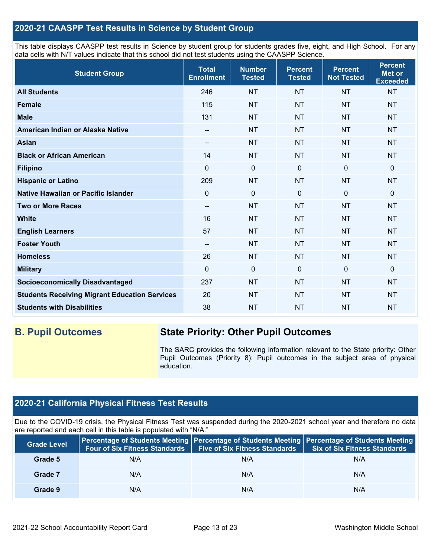## **2020-21 CAASPP Test Results in Science by Student Group**

This table displays CAASPP test results in Science by student group for students grades five, eight, and High School. For any data cells with N/T values indicate that this school did not test students using the CAASPP Science.

| <b>Student Group</b>                                 | <b>Total</b><br><b>Enrollment</b> | <b>Number</b><br><b>Tested</b> | <b>Percent</b><br><b>Tested</b> | <b>Percent</b><br><b>Not Tested</b> | <b>Percent</b><br><b>Met or</b><br><b>Exceeded</b> |
|------------------------------------------------------|-----------------------------------|--------------------------------|---------------------------------|-------------------------------------|----------------------------------------------------|
| <b>All Students</b>                                  | 246                               | <b>NT</b>                      | <b>NT</b>                       | <b>NT</b>                           | <b>NT</b>                                          |
| <b>Female</b>                                        | 115                               | <b>NT</b>                      | <b>NT</b>                       | <b>NT</b>                           | <b>NT</b>                                          |
| <b>Male</b>                                          | 131                               | <b>NT</b>                      | <b>NT</b>                       | <b>NT</b>                           | <b>NT</b>                                          |
| American Indian or Alaska Native                     | --                                | <b>NT</b>                      | <b>NT</b>                       | <b>NT</b>                           | <b>NT</b>                                          |
| <b>Asian</b>                                         | $\qquad \qquad -$                 | <b>NT</b>                      | <b>NT</b>                       | <b>NT</b>                           | <b>NT</b>                                          |
| <b>Black or African American</b>                     | 14                                | <b>NT</b>                      | <b>NT</b>                       | <b>NT</b>                           | <b>NT</b>                                          |
| <b>Filipino</b>                                      | $\Omega$                          | $\pmb{0}$                      | $\mathbf 0$                     | $\mathbf 0$                         | 0                                                  |
| <b>Hispanic or Latino</b>                            | 209                               | <b>NT</b>                      | <b>NT</b>                       | <b>NT</b>                           | <b>NT</b>                                          |
| Native Hawaiian or Pacific Islander                  | $\mathbf 0$                       | $\mathbf 0$                    | $\mathbf{0}$                    | $\overline{0}$                      | 0                                                  |
| <b>Two or More Races</b>                             | $-$                               | <b>NT</b>                      | <b>NT</b>                       | <b>NT</b>                           | <b>NT</b>                                          |
| <b>White</b>                                         | 16                                | <b>NT</b>                      | <b>NT</b>                       | <b>NT</b>                           | <b>NT</b>                                          |
| <b>English Learners</b>                              | 57                                | <b>NT</b>                      | <b>NT</b>                       | <b>NT</b>                           | <b>NT</b>                                          |
| <b>Foster Youth</b>                                  | --                                | <b>NT</b>                      | <b>NT</b>                       | <b>NT</b>                           | <b>NT</b>                                          |
| <b>Homeless</b>                                      | 26                                | <b>NT</b>                      | <b>NT</b>                       | <b>NT</b>                           | <b>NT</b>                                          |
| <b>Military</b>                                      | $\Omega$                          | $\mathbf 0$                    | $\mathbf 0$                     | $\mathbf 0$                         | 0                                                  |
| <b>Socioeconomically Disadvantaged</b>               | 237                               | <b>NT</b>                      | <b>NT</b>                       | <b>NT</b>                           | <b>NT</b>                                          |
| <b>Students Receiving Migrant Education Services</b> | 20                                | <b>NT</b>                      | <b>NT</b>                       | <b>NT</b>                           | <b>NT</b>                                          |
| <b>Students with Disabilities</b>                    | 38                                | <b>NT</b>                      | <b>NT</b>                       | <b>NT</b>                           | <b>NT</b>                                          |

## **B. Pupil Outcomes State Priority: Other Pupil Outcomes**

The SARC provides the following information relevant to the State priority: Other Pupil Outcomes (Priority 8): Pupil outcomes in the subject area of physical education.

## **2020-21 California Physical Fitness Test Results**

Due to the COVID-19 crisis, the Physical Fitness Test was suspended during the 2020-2021 school year and therefore no data are reported and each cell in this table is populated with "N/A."

| <b>Grade Level</b> | Four of Six Fitness Standards | <b>Five of Six Fitness Standards</b> | Percentage of Students Meeting   Percentage of Students Meeting   Percentage of Students Meeting<br><b>Six of Six Fitness Standards</b> |
|--------------------|-------------------------------|--------------------------------------|-----------------------------------------------------------------------------------------------------------------------------------------|
| Grade 5            | N/A                           | N/A                                  | N/A                                                                                                                                     |
| Grade 7            | N/A                           | N/A                                  | N/A                                                                                                                                     |
| Grade 9            | N/A                           | N/A                                  | N/A                                                                                                                                     |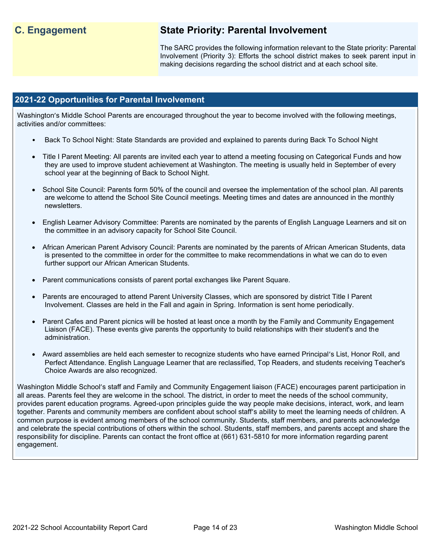## **C. Engagement State Priority: Parental Involvement**

The SARC provides the following information relevant to the State priority: Parental Involvement (Priority 3): Efforts the school district makes to seek parent input in making decisions regarding the school district and at each school site.

### **2021-22 Opportunities for Parental Involvement**

Washington's Middle School Parents are encouraged throughout the year to become involved with the following meetings, activities and/or committees:

- Back To School Night: State Standards are provided and explained to parents during Back To School Night
- Title I Parent Meeting: All parents are invited each year to attend a meeting focusing on Categorical Funds and how they are used to improve student achievement at Washington. The meeting is usually held in September of every school year at the beginning of Back to School Night.
- School Site Council: Parents form 50% of the council and oversee the implementation of the school plan. All parents are welcome to attend the School Site Council meetings. Meeting times and dates are announced in the monthly newsletters.
- English Learner Advisory Committee: Parents are nominated by the parents of English Language Learners and sit on the committee in an advisory capacity for School Site Council.
- African American Parent Advisory Council: Parents are nominated by the parents of African American Students, data is presented to the committee in order for the committee to make recommendations in what we can do to even further support our African American Students.
- Parent communications consists of parent portal exchanges like Parent Square.
- Parents are encouraged to attend Parent University Classes, which are sponsored by district Title I Parent Involvement. Classes are held in the Fall and again in Spring. Information is sent home periodically.
- Parent Cafes and Parent picnics will be hosted at least once a month by the Family and Community Engagement Liaison (FACE). These events give parents the opportunity to build relationships with their student's and the administration.
- Award assemblies are held each semester to recognize students who have earned Principal's List, Honor Roll, and Perfect Attendance. English Language Learner that are reclassified, Top Readers, and students receiving Teacher's Choice Awards are also recognized.

Washington Middle School's staff and Family and Community Engagement liaison (FACE) encourages parent participation in all areas. Parents feel they are welcome in the school. The district, in order to meet the needs of the school community, provides parent education programs. Agreed-upon principles guide the way people make decisions, interact, work, and learn together. Parents and community members are confident about school staff's ability to meet the learning needs of children. A common purpose is evident among members of the school community. Students, staff members, and parents acknowledge and celebrate the special contributions of others within the school. Students, staff members, and parents accept and share the responsibility for discipline. Parents can contact the front office at (661) 631-5810 for more information regarding parent engagement.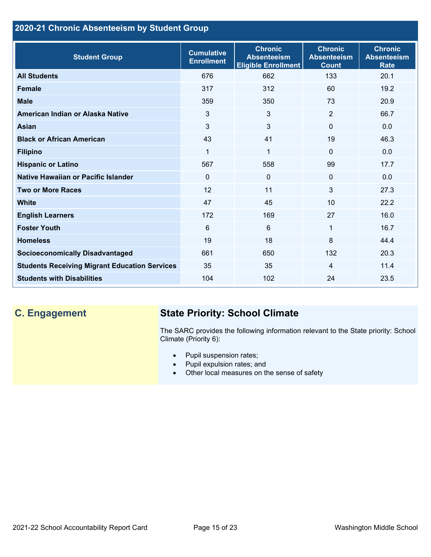## **2020-21 Chronic Absenteeism by Student Group**

| <b>Student Group</b>                                 | <b>Cumulative</b><br><b>Enrollment</b> | <b>Chronic</b><br><b>Absenteeism</b><br><b>Eligible Enrollment</b> | <b>Chronic</b><br><b>Absenteeism</b><br><b>Count</b> | <b>Chronic</b><br><b>Absenteeism</b><br><b>Rate</b> |
|------------------------------------------------------|----------------------------------------|--------------------------------------------------------------------|------------------------------------------------------|-----------------------------------------------------|
| <b>All Students</b>                                  | 676                                    | 662                                                                | 133                                                  | 20.1                                                |
| <b>Female</b>                                        | 317                                    | 312                                                                | 60                                                   | 19.2                                                |
| <b>Male</b>                                          | 359                                    | 350                                                                | 73                                                   | 20.9                                                |
| American Indian or Alaska Native                     | 3                                      | 3                                                                  | 2                                                    | 66.7                                                |
| Asian                                                | 3                                      | 3                                                                  | $\mathbf{0}$                                         | 0.0                                                 |
| <b>Black or African American</b>                     | 43                                     | 41                                                                 | 19                                                   | 46.3                                                |
| <b>Filipino</b>                                      | 1                                      | $\mathbf{1}$                                                       | $\mathbf{0}$                                         | 0.0                                                 |
| <b>Hispanic or Latino</b>                            | 567                                    | 558                                                                | 99                                                   | 17.7                                                |
| Native Hawaiian or Pacific Islander                  | $\Omega$                               | 0                                                                  | $\mathbf 0$                                          | 0.0                                                 |
| <b>Two or More Races</b>                             | 12                                     | 11                                                                 | 3                                                    | 27.3                                                |
| <b>White</b>                                         | 47                                     | 45                                                                 | 10                                                   | 22.2                                                |
| <b>English Learners</b>                              | 172                                    | 169                                                                | 27                                                   | 16.0                                                |
| <b>Foster Youth</b>                                  | 6                                      | $6\phantom{1}$                                                     | 1                                                    | 16.7                                                |
| <b>Homeless</b>                                      | 19                                     | 18                                                                 | 8                                                    | 44.4                                                |
| <b>Socioeconomically Disadvantaged</b>               | 661                                    | 650                                                                | 132                                                  | 20.3                                                |
| <b>Students Receiving Migrant Education Services</b> | 35                                     | 35                                                                 | $\overline{4}$                                       | 11.4                                                |
| <b>Students with Disabilities</b>                    | 104                                    | 102                                                                | 24                                                   | 23.5                                                |

## **C. Engagement State Priority: School Climate**

The SARC provides the following information relevant to the State priority: School Climate (Priority 6):

- Pupil suspension rates;
- Pupil expulsion rates; and
- Other local measures on the sense of safety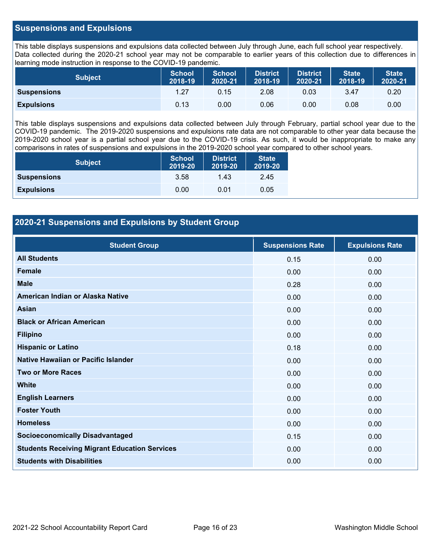## **Suspensions and Expulsions**

This table displays suspensions and expulsions data collected between July through June, each full school year respectively. Data collected during the 2020-21 school year may not be comparable to earlier years of this collection due to differences in learning mode instruction in response to the COVID-19 pandemic.

| <b>Subject</b>     | <b>School</b><br>2018-19 | <b>School</b><br>2020-21 | <b>District</b><br>2018-19 | <b>District</b><br>2020-21 | <b>State</b><br>2018-19 | <b>State</b><br>2020-21 |
|--------------------|--------------------------|--------------------------|----------------------------|----------------------------|-------------------------|-------------------------|
| <b>Suspensions</b> | 1.27                     | 0.15                     | 2.08                       | 0.03                       | 3.47                    | 0.20                    |
| <b>Expulsions</b>  | 0.13                     | 0.00                     | 0.06                       | 0.00                       | 0.08                    | 0.00                    |

This table displays suspensions and expulsions data collected between July through February, partial school year due to the COVID-19 pandemic. The 2019-2020 suspensions and expulsions rate data are not comparable to other year data because the 2019-2020 school year is a partial school year due to the COVID-19 crisis. As such, it would be inappropriate to make any comparisons in rates of suspensions and expulsions in the 2019-2020 school year compared to other school years.

| <b>Subject</b>     | <b>School</b><br>2019-20 | <b>District</b><br>2019-20 | <b>State</b><br>2019-20 |
|--------------------|--------------------------|----------------------------|-------------------------|
| <b>Suspensions</b> | 3.58                     | 1.43                       | 2.45                    |
| <b>Expulsions</b>  | 0.00                     | 0.01                       | 0.05                    |

## **2020-21 Suspensions and Expulsions by Student Group**

| <b>Student Group</b>                                 | <b>Suspensions Rate</b> | <b>Expulsions Rate</b> |
|------------------------------------------------------|-------------------------|------------------------|
| <b>All Students</b>                                  | 0.15                    | 0.00                   |
| <b>Female</b>                                        | 0.00                    | 0.00                   |
| <b>Male</b>                                          | 0.28                    | 0.00                   |
| American Indian or Alaska Native                     | 0.00                    | 0.00                   |
| Asian                                                | 0.00                    | 0.00                   |
| <b>Black or African American</b>                     | 0.00                    | 0.00                   |
| <b>Filipino</b>                                      | 0.00                    | 0.00                   |
| <b>Hispanic or Latino</b>                            | 0.18                    | 0.00                   |
| Native Hawaiian or Pacific Islander                  | 0.00                    | 0.00                   |
| <b>Two or More Races</b>                             | 0.00                    | 0.00                   |
| <b>White</b>                                         | 0.00                    | 0.00                   |
| <b>English Learners</b>                              | 0.00                    | 0.00                   |
| <b>Foster Youth</b>                                  | 0.00                    | 0.00                   |
| <b>Homeless</b>                                      | 0.00                    | 0.00                   |
| <b>Socioeconomically Disadvantaged</b>               | 0.15                    | 0.00                   |
| <b>Students Receiving Migrant Education Services</b> | 0.00                    | 0.00                   |
| <b>Students with Disabilities</b>                    | 0.00                    | 0.00                   |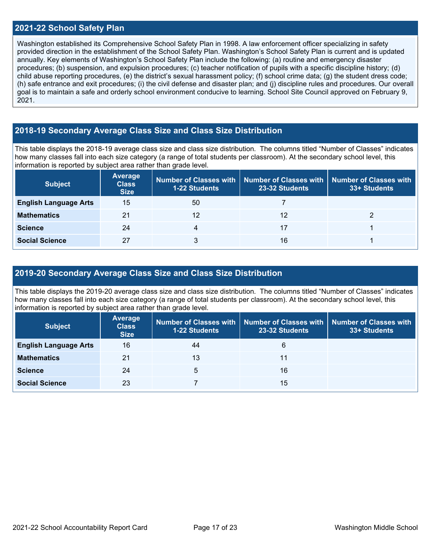#### **2021-22 School Safety Plan**

Washington established its Comprehensive School Safety Plan in 1998. A law enforcement officer specializing in safety provided direction in the establishment of the School Safety Plan. Washington's School Safety Plan is current and is updated annually. Key elements of Washington's School Safety Plan include the following: (a) routine and emergency disaster procedures; (b) suspension, and expulsion procedures; (c) teacher notification of pupils with a specific discipline history; (d) child abuse reporting procedures, (e) the district's sexual harassment policy; (f) school crime data; (g) the student dress code; (h) safe entrance and exit procedures; (i) the civil defense and disaster plan; and (j) discipline rules and procedures. Our overall goal is to maintain a safe and orderly school environment conducive to learning. School Site Council approved on February 9, 2021.

## **2018-19 Secondary Average Class Size and Class Size Distribution**

This table displays the 2018-19 average class size and class size distribution. The columns titled "Number of Classes" indicates how many classes fall into each size category (a range of total students per classroom). At the secondary school level, this information is reported by subject area rather than grade level.

| <b>Subject</b>               | <b>Average</b><br><b>Class</b><br><b>Size</b> | <b>1-22 Students</b> | Number of Classes with   Number of Classes with   Number of Classes with<br>23-32 Students | 33+ Students |
|------------------------------|-----------------------------------------------|----------------------|--------------------------------------------------------------------------------------------|--------------|
| <b>English Language Arts</b> | 15                                            | 50                   |                                                                                            |              |
| <b>Mathematics</b>           | 21                                            | 12                   | 12                                                                                         |              |
| <b>Science</b>               | 24                                            | 4                    | 17                                                                                         |              |
| <b>Social Science</b>        | 27                                            |                      | 16                                                                                         |              |

### **2019-20 Secondary Average Class Size and Class Size Distribution**

This table displays the 2019-20 average class size and class size distribution. The columns titled "Number of Classes" indicates how many classes fall into each size category (a range of total students per classroom). At the secondary school level, this information is reported by subject area rather than grade level.

| <b>Subject</b>               | <b>Average</b><br><b>Class</b><br><b>Size</b> | 1-22 Students | Number of Classes with   Number of Classes with  <br>23-32 Students | Number of Classes with<br>33+ Students |
|------------------------------|-----------------------------------------------|---------------|---------------------------------------------------------------------|----------------------------------------|
| <b>English Language Arts</b> | 16                                            | 44            | 6                                                                   |                                        |
| <b>Mathematics</b>           | 21                                            | 13            | 11                                                                  |                                        |
| <b>Science</b>               | 24                                            | 5             | 16                                                                  |                                        |
| <b>Social Science</b>        | 23                                            |               | 15                                                                  |                                        |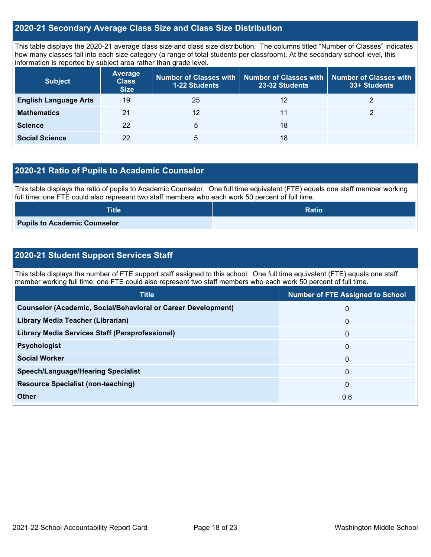## **2020-21 Secondary Average Class Size and Class Size Distribution**

This table displays the 2020-21 average class size and class size distribution. The columns titled "Number of Classes" indicates how many classes fall into each size category (a range of total students per classroom). At the secondary school level, this information is reported by subject area rather than grade level.

| <b>Subject</b>               | <b>Average</b><br><b>Class</b><br><b>Size</b> | <b>1-22 Students</b> | Number of Classes with   Number of Classes with<br>23-32 Students | <b>Number of Classes with</b><br>33+ Students |
|------------------------------|-----------------------------------------------|----------------------|-------------------------------------------------------------------|-----------------------------------------------|
| <b>English Language Arts</b> | 19                                            | 25                   | 12                                                                |                                               |
| <b>Mathematics</b>           | 21                                            | 12                   | 11                                                                |                                               |
| <b>Science</b>               | 22                                            | 5                    | 18                                                                |                                               |
| <b>Social Science</b>        | 22                                            | 5                    | 18                                                                |                                               |

## **2020-21 Ratio of Pupils to Academic Counselor**

This table displays the ratio of pupils to Academic Counselor. One full time equivalent (FTE) equals one staff member working full time; one FTE could also represent two staff members who each work 50 percent of full time.

| <b>Title</b>                        | <b>Ratio</b> |
|-------------------------------------|--------------|
| <b>Pupils to Academic Counselor</b> |              |

## **2020-21 Student Support Services Staff**

This table displays the number of FTE support staff assigned to this school. One full time equivalent (FTE) equals one staff member working full time; one FTE could also represent two staff members who each work 50 percent of full time.

| <b>Title</b>                                                         | <b>Number of FTE Assigned to School</b> |
|----------------------------------------------------------------------|-----------------------------------------|
| <b>Counselor (Academic, Social/Behavioral or Career Development)</b> | 0                                       |
| Library Media Teacher (Librarian)                                    | $\mathbf 0$                             |
| Library Media Services Staff (Paraprofessional)                      | $\mathbf{0}$                            |
| <b>Psychologist</b>                                                  | $\mathbf{0}$                            |
| <b>Social Worker</b>                                                 | $\mathbf 0$                             |
| <b>Speech/Language/Hearing Specialist</b>                            | $\Omega$                                |
| <b>Resource Specialist (non-teaching)</b>                            | $\mathbf{0}$                            |
| Other                                                                | 0.6                                     |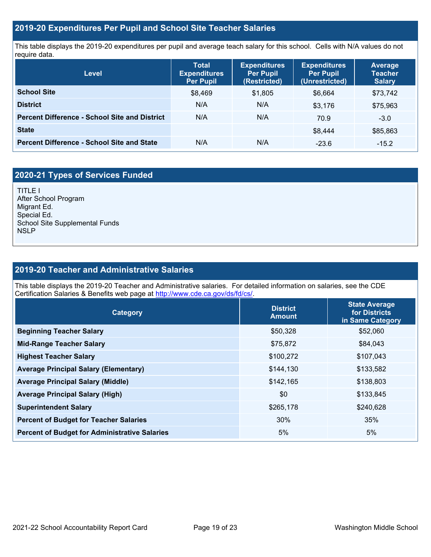## **2019-20 Expenditures Per Pupil and School Site Teacher Salaries**

This table displays the 2019-20 expenditures per pupil and average teach salary for this school. Cells with N/A values do not require data.

| Level                                                | <b>Total</b><br><b>Expenditures</b><br><b>Per Pupil</b> | <b>Expenditures</b><br><b>Per Pupil</b><br>(Restricted) | <b>Expenditures</b><br><b>Per Pupil</b><br>(Unrestricted) | <b>Average</b><br><b>Teacher</b><br><b>Salary</b> |
|------------------------------------------------------|---------------------------------------------------------|---------------------------------------------------------|-----------------------------------------------------------|---------------------------------------------------|
| <b>School Site</b>                                   | \$8,469                                                 | \$1,805                                                 | \$6,664                                                   | \$73,742                                          |
| <b>District</b>                                      | N/A                                                     | N/A                                                     | \$3.176                                                   | \$75,963                                          |
| <b>Percent Difference - School Site and District</b> | N/A                                                     | N/A                                                     | 70.9                                                      | $-3.0$                                            |
| <b>State</b>                                         |                                                         |                                                         | \$8,444                                                   | \$85,863                                          |
| <b>Percent Difference - School Site and State</b>    | N/A                                                     | N/A                                                     | $-23.6$                                                   | $-15.2$                                           |

## **2020-21 Types of Services Funded**

TITLE I After School Program Migrant Ed. Special Ed. School Site Supplemental Funds **NSLP** 

## **2019-20 Teacher and Administrative Salaries**

This table displays the 2019-20 Teacher and Administrative salaries. For detailed information on salaries, see the CDE Certification Salaries & Benefits web page at [http://www.cde.ca.gov/ds/fd/cs/.](http://www.cde.ca.gov/ds/fd/cs/)

| <b>Category</b>                                      | <b>District</b><br><b>Amount</b> | <b>State Average</b><br>for Districts<br>in Same Category |
|------------------------------------------------------|----------------------------------|-----------------------------------------------------------|
| <b>Beginning Teacher Salary</b>                      | \$50,328                         | \$52,060                                                  |
| <b>Mid-Range Teacher Salary</b>                      | \$75,872                         | \$84,043                                                  |
| <b>Highest Teacher Salary</b>                        | \$100,272                        | \$107,043                                                 |
| <b>Average Principal Salary (Elementary)</b>         | \$144,130                        | \$133,582                                                 |
| <b>Average Principal Salary (Middle)</b>             | \$142,165                        | \$138,803                                                 |
| <b>Average Principal Salary (High)</b>               | \$0                              | \$133,845                                                 |
| <b>Superintendent Salary</b>                         | \$265,178                        | \$240,628                                                 |
| <b>Percent of Budget for Teacher Salaries</b>        | 30%                              | 35%                                                       |
| <b>Percent of Budget for Administrative Salaries</b> | 5%                               | 5%                                                        |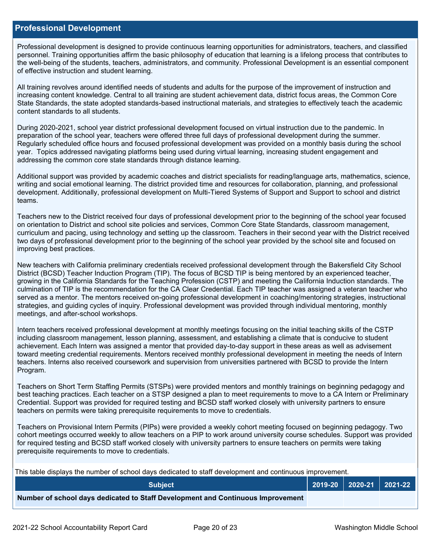#### **Professional Development**

Professional development is designed to provide continuous learning opportunities for administrators, teachers, and classified personnel. Training opportunities affirm the basic philosophy of education that learning is a lifelong process that contributes to the well-being of the students, teachers, administrators, and community. Professional Development is an essential component of effective instruction and student learning.

All training revolves around identified needs of students and adults for the purpose of the improvement of instruction and increasing content knowledge. Central to all training are student achievement data, district focus areas, the Common Core State Standards, the state adopted standards-based instructional materials, and strategies to effectively teach the academic content standards to all students.

During 2020-2021, school year district professional development focused on virtual instruction due to the pandemic. In preparation of the school year, teachers were offered three full days of professional development during the summer. Regularly scheduled office hours and focused professional development was provided on a monthly basis during the school year. Topics addressed navigating platforms being used during virtual learning, increasing student engagement and addressing the common core state standards through distance learning.

Additional support was provided by academic coaches and district specialists for reading/language arts, mathematics, science, writing and social emotional learning. The district provided time and resources for collaboration, planning, and professional development. Additionally, professional development on Multi-Tiered Systems of Support and Support to school and district teams.

Teachers new to the District received four days of professional development prior to the beginning of the school year focused on orientation to District and school site policies and services, Common Core State Standards, classroom management, curriculum and pacing, using technology and setting up the classroom. Teachers in their second year with the District received two days of professional development prior to the beginning of the school year provided by the school site and focused on improving best practices.

New teachers with California preliminary credentials received professional development through the Bakersfield City School District (BCSD) Teacher Induction Program (TIP). The focus of BCSD TIP is being mentored by an experienced teacher, growing in the California Standards for the Teaching Profession (CSTP) and meeting the California Induction standards. The culmination of TIP is the recommendation for the CA Clear Credential. Each TIP teacher was assigned a veteran teacher who served as a mentor. The mentors received on-going professional development in coaching/mentoring strategies, instructional strategies, and guiding cycles of inquiry. Professional development was provided through individual mentoring, monthly meetings, and after-school workshops.

Intern teachers received professional development at monthly meetings focusing on the initial teaching skills of the CSTP including classroom management, lesson planning, assessment, and establishing a climate that is conducive to student achievement. Each Intern was assigned a mentor that provided day-to-day support in these areas as well as advisement toward meeting credential requirements. Mentors received monthly professional development in meeting the needs of Intern teachers. Interns also received coursework and supervision from universities partnered with BCSD to provide the Intern Program.

Teachers on Short Term Staffing Permits (STSPs) were provided mentors and monthly trainings on beginning pedagogy and best teaching practices. Each teacher on a STSP designed a plan to meet requirements to move to a CA Intern or Preliminary Credential. Support was provided for required testing and BCSD staff worked closely with university partners to ensure teachers on permits were taking prerequisite requirements to move to credentials.

Teachers on Provisional Intern Permits (PIPs) were provided a weekly cohort meeting focused on beginning pedagogy. Two cohort meetings occurred weekly to allow teachers on a PIP to work around university course schedules. Support was provided for required testing and BCSD staff worked closely with university partners to ensure teachers on permits were taking prerequisite requirements to move to credentials.

This table displays the number of school days dedicated to staff development and continuous improvement.

| <b>Subiect</b>                                                                  |  | 2019-20   2020-21   2021-22 |
|---------------------------------------------------------------------------------|--|-----------------------------|
| Number of school days dedicated to Staff Development and Continuous Improvement |  |                             |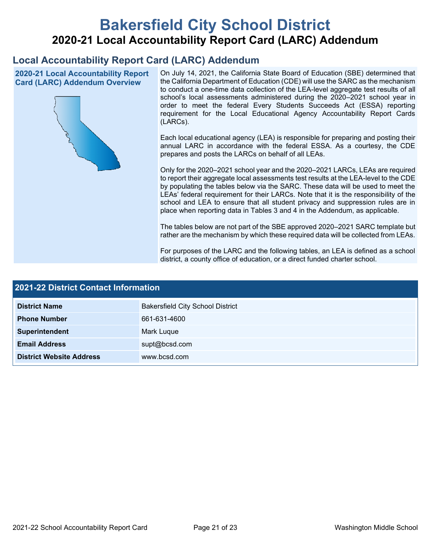# **Bakersfield City School District 2020-21 Local Accountability Report Card (LARC) Addendum**

## **Local Accountability Report Card (LARC) Addendum**

**2020-21 Local Accountability Report Card (LARC) Addendum Overview**



On July 14, 2021, the California State Board of Education (SBE) determined that the California Department of Education (CDE) will use the SARC as the mechanism to conduct a one-time data collection of the LEA-level aggregate test results of all school's local assessments administered during the 2020–2021 school year in order to meet the federal Every Students Succeeds Act (ESSA) reporting requirement for the Local Educational Agency Accountability Report Cards (LARCs).

Each local educational agency (LEA) is responsible for preparing and posting their annual LARC in accordance with the federal ESSA. As a courtesy, the CDE prepares and posts the LARCs on behalf of all LEAs.

Only for the 2020–2021 school year and the 2020–2021 LARCs, LEAs are required to report their aggregate local assessments test results at the LEA-level to the CDE by populating the tables below via the SARC. These data will be used to meet the LEAs' federal requirement for their LARCs. Note that it is the responsibility of the school and LEA to ensure that all student privacy and suppression rules are in place when reporting data in Tables 3 and 4 in the Addendum, as applicable.

The tables below are not part of the SBE approved 2020–2021 SARC template but rather are the mechanism by which these required data will be collected from LEAs.

For purposes of the LARC and the following tables, an LEA is defined as a school district, a county office of education, or a direct funded charter school.

| <b>2021-22 District Contact Information</b> |                                         |  |  |  |
|---------------------------------------------|-----------------------------------------|--|--|--|
| <b>District Name</b>                        | <b>Bakersfield City School District</b> |  |  |  |
| <b>Phone Number</b>                         | 661-631-4600                            |  |  |  |
| Superintendent                              | Mark Luque                              |  |  |  |
| <b>Email Address</b>                        | supt@bcsd.com                           |  |  |  |
| <b>District Website Address</b>             | www.bcsd.com                            |  |  |  |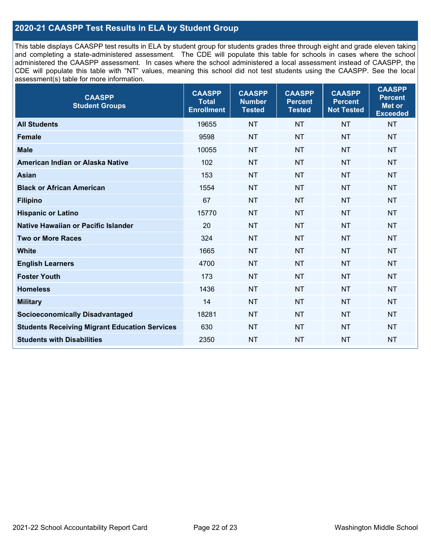## **2020-21 CAASPP Test Results in ELA by Student Group**

This table displays CAASPP test results in ELA by student group for students grades three through eight and grade eleven taking and completing a state-administered assessment. The CDE will populate this table for schools in cases where the school administered the CAASPP assessment. In cases where the school administered a local assessment instead of CAASPP, the CDE will populate this table with "NT" values, meaning this school did not test students using the CAASPP. See the local assessment(s) table for more information.

| <b>CAASPP</b><br><b>Student Groups</b>               | <b>CAASPP</b><br><b>Total</b><br><b>Enrollment</b> | <b>CAASPP</b><br><b>Number</b><br><b>Tested</b> | <b>CAASPP</b><br><b>Percent</b><br><b>Tested</b> | <b>CAASPP</b><br><b>Percent</b><br><b>Not Tested</b> | <b>CAASPP</b><br><b>Percent</b><br>Met or<br><b>Exceeded</b> |
|------------------------------------------------------|----------------------------------------------------|-------------------------------------------------|--------------------------------------------------|------------------------------------------------------|--------------------------------------------------------------|
| <b>All Students</b>                                  | 19655                                              | <b>NT</b>                                       | <b>NT</b>                                        | <b>NT</b>                                            | <b>NT</b>                                                    |
| <b>Female</b>                                        | 9598                                               | <b>NT</b>                                       | <b>NT</b>                                        | <b>NT</b>                                            | <b>NT</b>                                                    |
| <b>Male</b>                                          | 10055                                              | <b>NT</b>                                       | <b>NT</b>                                        | <b>NT</b>                                            | <b>NT</b>                                                    |
| American Indian or Alaska Native                     | 102                                                | <b>NT</b>                                       | <b>NT</b>                                        | <b>NT</b>                                            | <b>NT</b>                                                    |
| <b>Asian</b>                                         | 153                                                | <b>NT</b>                                       | <b>NT</b>                                        | <b>NT</b>                                            | <b>NT</b>                                                    |
| <b>Black or African American</b>                     | 1554                                               | <b>NT</b>                                       | <b>NT</b>                                        | <b>NT</b>                                            | NT                                                           |
| <b>Filipino</b>                                      | 67                                                 | <b>NT</b>                                       | <b>NT</b>                                        | <b>NT</b>                                            | <b>NT</b>                                                    |
| <b>Hispanic or Latino</b>                            | 15770                                              | <b>NT</b>                                       | <b>NT</b>                                        | <b>NT</b>                                            | <b>NT</b>                                                    |
| Native Hawaiian or Pacific Islander                  | 20                                                 | <b>NT</b>                                       | <b>NT</b>                                        | <b>NT</b>                                            | <b>NT</b>                                                    |
| <b>Two or More Races</b>                             | 324                                                | <b>NT</b>                                       | <b>NT</b>                                        | <b>NT</b>                                            | <b>NT</b>                                                    |
| <b>White</b>                                         | 1665                                               | <b>NT</b>                                       | <b>NT</b>                                        | <b>NT</b>                                            | <b>NT</b>                                                    |
| <b>English Learners</b>                              | 4700                                               | <b>NT</b>                                       | <b>NT</b>                                        | <b>NT</b>                                            | <b>NT</b>                                                    |
| <b>Foster Youth</b>                                  | 173                                                | <b>NT</b>                                       | <b>NT</b>                                        | <b>NT</b>                                            | <b>NT</b>                                                    |
| <b>Homeless</b>                                      | 1436                                               | <b>NT</b>                                       | <b>NT</b>                                        | <b>NT</b>                                            | <b>NT</b>                                                    |
| <b>Military</b>                                      | 14                                                 | <b>NT</b>                                       | <b>NT</b>                                        | <b>NT</b>                                            | <b>NT</b>                                                    |
| <b>Socioeconomically Disadvantaged</b>               | 18281                                              | <b>NT</b>                                       | <b>NT</b>                                        | <b>NT</b>                                            | <b>NT</b>                                                    |
| <b>Students Receiving Migrant Education Services</b> | 630                                                | <b>NT</b>                                       | <b>NT</b>                                        | <b>NT</b>                                            | NT                                                           |
| <b>Students with Disabilities</b>                    | 2350                                               | <b>NT</b>                                       | <b>NT</b>                                        | <b>NT</b>                                            | NT                                                           |